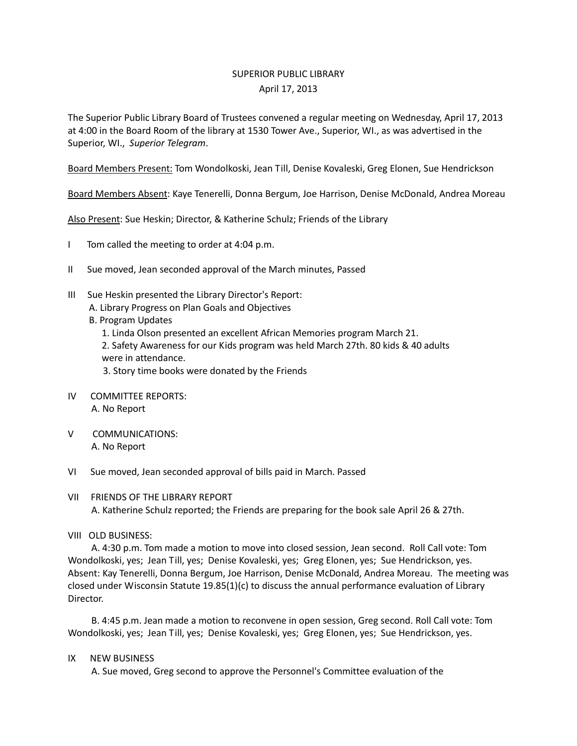## SUPERIOR PUBLIC LIBRARY April 17, 2013

The Superior Public Library Board of Trustees convened a regular meeting on Wednesday, April 17, 2013 at 4:00 in the Board Room of the library at 1530 Tower Ave., Superior, WI., as was advertised in the Superior, WI., *Superior Telegram*.

Board Members Present: Tom Wondolkoski, Jean Till, Denise Kovaleski, Greg Elonen, Sue Hendrickson

Board Members Absent: Kaye Tenerelli, Donna Bergum, Joe Harrison, Denise McDonald, Andrea Moreau

Also Present: Sue Heskin; Director, & Katherine Schulz; Friends of the Library

- I Tom called the meeting to order at 4:04 p.m.
- II Sue moved, Jean seconded approval of the March minutes, Passed
- III Sue Heskin presented the Library Director's Report: A. Library Progress on Plan Goals and Objectives
	- B. Program Updates
		- 1. Linda Olson presented an excellent African Memories program March 21.
		- 2. Safety Awareness for our Kids program was held March 27th. 80 kids & 40 adults were in attendance.

3. Story time books were donated by the Friends

- IV COMMITTEE REPORTS: A. No Report
- V COMMUNICATIONS: A. No Report
- VI Sue moved, Jean seconded approval of bills paid in March. Passed
- VII FRIENDS OF THE LIBRARY REPORT A. Katherine Schulz reported; the Friends are preparing for the book sale April 26 & 27th.
- VIII OLD BUSINESS:

 A. 4:30 p.m. Tom made a motion to move into closed session, Jean second. Roll Call vote: Tom Wondolkoski, yes; Jean Till, yes; Denise Kovaleski, yes; Greg Elonen, yes; Sue Hendrickson, yes. Absent: Kay Tenerelli, Donna Bergum, Joe Harrison, Denise McDonald, Andrea Moreau. The meeting was closed under Wisconsin Statute 19.85(1)(c) to discuss the annual performance evaluation of Library Director.

 B. 4:45 p.m. Jean made a motion to reconvene in open session, Greg second. Roll Call vote: Tom Wondolkoski, yes; Jean Till, yes; Denise Kovaleski, yes; Greg Elonen, yes; Sue Hendrickson, yes.

IX NEW BUSINESS

A. Sue moved, Greg second to approve the Personnel's Committee evaluation of the